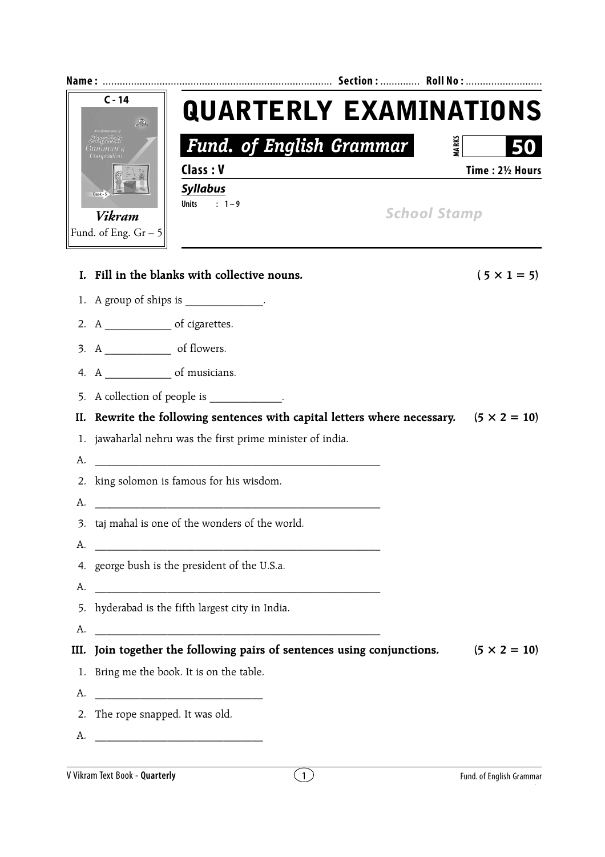|      | $C - 14$<br>$\mathcal{D}_\mathcal{C}$            | <b>QUARTERLY EXAMINATIONS</b>                                                                                        |  |                     |              |                     |  |
|------|--------------------------------------------------|----------------------------------------------------------------------------------------------------------------------|--|---------------------|--------------|---------------------|--|
|      | Composition                                      | <b>Fund. of English Grammar</b>                                                                                      |  |                     | <b>MARKS</b> |                     |  |
|      |                                                  | Class: V                                                                                                             |  |                     |              | Time: 21/2 Hours    |  |
|      |                                                  | <b>Syllabus</b><br>Units : $1-9$                                                                                     |  |                     |              |                     |  |
|      | <b>Vikram</b>                                    |                                                                                                                      |  | <b>School Stamp</b> |              |                     |  |
|      | Fund. of Eng. $Gr - 5$                           |                                                                                                                      |  |                     |              |                     |  |
| L.   |                                                  | Fill in the blanks with collective nouns.                                                                            |  |                     |              | $(5 \times 1 = 5)$  |  |
|      |                                                  | 1. A group of ships is _____________.                                                                                |  |                     |              |                     |  |
|      |                                                  |                                                                                                                      |  |                     |              |                     |  |
|      |                                                  |                                                                                                                      |  |                     |              |                     |  |
|      |                                                  |                                                                                                                      |  |                     |              |                     |  |
|      |                                                  | 5. A collection of people is ____________.                                                                           |  |                     |              |                     |  |
| II.  |                                                  | Rewrite the following sentences with capital letters where necessary. $(5 \times 2 = 10)$                            |  |                     |              |                     |  |
| 1.   |                                                  | jawaharlal nehru was the first prime minister of india.                                                              |  |                     |              |                     |  |
| А.   |                                                  | <u> 1989 - Johann Barn, mars ar breithinn ar chuid ann an t-Alban ann an t-Alban ann an t-Alban ann an t-Alban a</u> |  |                     |              |                     |  |
| 2.   | king solomon is famous for his wisdom.           |                                                                                                                      |  |                     |              |                     |  |
| А.   |                                                  |                                                                                                                      |  |                     |              |                     |  |
|      | 3. taj mahal is one of the wonders of the world. |                                                                                                                      |  |                     |              |                     |  |
| А.   | 4. george bush is the president of the U.S.a.    |                                                                                                                      |  |                     |              |                     |  |
| А.   |                                                  |                                                                                                                      |  |                     |              |                     |  |
| 5.   | hyderabad is the fifth largest city in India.    |                                                                                                                      |  |                     |              |                     |  |
| A.   |                                                  |                                                                                                                      |  |                     |              |                     |  |
| III. |                                                  | Join together the following pairs of sentences using conjunctions.                                                   |  |                     |              | $(5 \times 2 = 10)$ |  |
| 1.   |                                                  | Bring me the book. It is on the table.                                                                               |  |                     |              |                     |  |
| A.   |                                                  |                                                                                                                      |  |                     |              |                     |  |
|      | 2. The rope snapped. It was old.                 |                                                                                                                      |  |                     |              |                     |  |
| А.   |                                                  |                                                                                                                      |  |                     |              |                     |  |
|      |                                                  |                                                                                                                      |  |                     |              |                     |  |